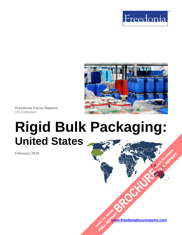



**Freedonia Focus Reports** US Collection

# **Rigid Bulk Packaging: United States**

**February 2019**

**[www.freedoniafocusreports.com](https://www.freedoniafocusreports.com/redirect.asp?progid=89534&url=/)** CLICK TO ORDER **FULL REPORT** 

**[BROCHURE](https://www.freedoniafocusreports.com/Rigid-Bulk-Packaging-United-States-FF30026/?progid=89541) CLICK TO ORDER** 

**FULL REPORT**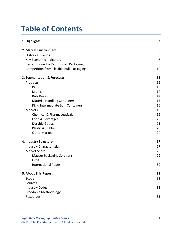## **Table of Contents**

| 1. Highlights                                   | 3  |
|-------------------------------------------------|----|
| 2. Market Environment                           | 5  |
| <b>Historical Trends</b>                        | 5  |
| Key Economic Indicators                         | 7  |
| Reconditioned & Refurbished Packaging           | 8  |
| <b>Competition from Flexible Bulk Packaging</b> | 10 |
| 3. Segmentation & Forecasts                     | 12 |
| Products                                        | 12 |
| Pails                                           | 13 |
| Drums                                           | 14 |
| <b>Bulk Boxes</b>                               | 14 |
| <b>Material Handling Containers</b>             | 15 |
| Rigid Intermediate Bulk Containers              | 16 |
| Markets                                         | 18 |
| <b>Chemical &amp; Pharmaceuticals</b>           | 19 |
| Food & Beverages                                | 20 |
| <b>Durable Goods</b>                            | 21 |
| Plastic & Rubber                                | 23 |
| <b>Other Markets</b>                            | 24 |
| 4. Industry Structure                           | 27 |
| <b>Industry Characteristics</b>                 | 27 |
| <b>Market Share</b>                             | 28 |
| <b>Mauser Packaging Solutions</b>               | 29 |
| Greif                                           | 30 |
| <b>International Paper</b>                      | 30 |
| 5. About This Report                            | 32 |
| Scope                                           | 32 |
| Sources                                         | 32 |
| <b>Industry Codes</b>                           | 33 |
| Freedonia Methodology                           | 33 |
| Resources                                       | 35 |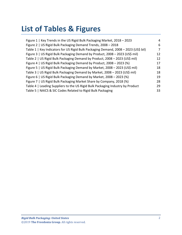## **List of Tables & Figures**

| Figure 1   Key Trends in the US Rigid Bulk Packaging Market, 2018 - 2023            | 4  |
|-------------------------------------------------------------------------------------|----|
| Figure 2   US Rigid Bulk Packaging Demand Trends, 2008 - 2018                       | 6  |
| Table 1   Key Indicators for US Rigid Bulk Packaging Demand, 2008 - 2023 (US\$ bil) | 7  |
| Figure 3   US Rigid Bulk Packaging Demand by Product, 2008 - 2023 (US\$ mil)        | 12 |
| Table 2   US Rigid Bulk Packaging Demand by Product, 2008 - 2023 (US\$ mil)         | 12 |
| Figure 4   US Rigid Bulk Packaging Demand by Product, 2008 - 2023 (%)               | 17 |
| Figure 5   US Rigid Bulk Packaging Demand by Market, 2008 - 2023 (US\$ mil)         | 18 |
| Table 3   US Rigid Bulk Packaging Demand by Market, 2008 - 2023 (US\$ mil)          | 18 |
| Figure 6   US Rigid Bulk Packaging Demand by Market, 2008 - 2023 (%)                | 19 |
| Figure 7   US Rigid Bulk Packaging Market Share by Company, 2018 (%)                | 28 |
| Table 4   Leading Suppliers to the US Rigid Bulk Packaging Industry by Product      | 29 |
| Table 5   NAICS & SIC Codes Related to Rigid Bulk Packaging                         | 33 |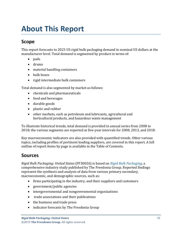## <span id="page-3-0"></span>**About This Report**

## <span id="page-3-1"></span>**Scope**

This report forecasts to 2023 US rigid bulk packaging demand in nominal US dollars at the manufacturer level. Total demand is segmented by product in terms of:

- pails
- drums
- material handling containers
- bulk boxes
- rigid intermediate bulk containers

Total demand is also segmented by market as follows:

- chemicals and pharmaceuticals
- food and beverages
- durable goods
- plastic and rubber
- other markets, such as petroleum and lubricants, agricultural and horticultural products, and hazardous waste management

To illustrate historical trends, total demand is provided in annual series from 2008 to 2018; the various segments are reported at five-year intervals for 2008, 2013, and 2018.

Key macroeconomic indicators are also provided with quantified trends. Other various topics, including profiles of pertinent leading suppliers, are covered in this report. A full outline of report items by page is available in the Table of Contents.

### <span id="page-3-2"></span>**Sources**

*Rigid Bulk Packaging: United States* (FF30026) is based on *[Rigid Bulk Packaging,](http://www.freedoniagroup.com/DocumentDetails.aspx?ReferrerId=FL-FOCUS&studyid=3704)* a comprehensive industry study published by The Freedonia Group. Reported findings represent the synthesis and analysis of data from various primary secondary, macroeconomic, and demographic sources, such as:

- firms participating in the industry, and their suppliers and customers
- government/public agencies
- intergovernmental and nongovernmental organizations
- trade associations and their publications
- the business and trade press
- indicator forecasts by The Freedonia Group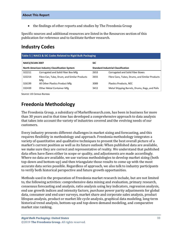• the findings of other reports and studies by The Freedonia Group

Specific sources and additional resources are listed in the Resources section of this publication for reference and to facilitate further research.

## <span id="page-4-0"></span>**Industry Codes**

<span id="page-4-2"></span>

| Table 5   NAICS & SIC Codes Related to Rigid Bulk Packaging |                                                           |                                           |                                                |  |
|-------------------------------------------------------------|-----------------------------------------------------------|-------------------------------------------|------------------------------------------------|--|
| NAICS/SCIAN 2007                                            |                                                           | <b>SIC</b>                                |                                                |  |
|                                                             | <b>North American Industry Classification System</b>      | <b>Standard Industrial Classification</b> |                                                |  |
| 322211                                                      | Corrugated and Solid Fiber Box Mfg                        | 2653                                      | Corrugated and Solid Fiber Boxes               |  |
| 322214                                                      | Fibre Can, Tube, Drum, and Similar Products<br><b>Mfg</b> | 2655                                      | Fibre Cans, Tubes, Drums, and Similar Products |  |
| 326199                                                      | All Other Plastics Product Mfg                            | 3089                                      | Plastics Products, NEC                         |  |
| 332439                                                      | Other Metal Container Mfg                                 | 3412                                      | Metal Shipping Barrels, Drums, Kegs, and Pails |  |

Source: US Census Bureau

## <span id="page-4-1"></span>**Freedonia Methodology**

The Freedonia Group, a subsidiary of MarketResearch.com, has been in business for more than 30 years and in that time has developed a comprehensive approach to data analysis that takes into account the variety of industries covered and the evolving needs of our customers.

Every industry presents different challenges in market sizing and forecasting, and this requires flexibility in methodology and approach. Freedonia methodology integrates a variety of quantitative and qualitative techniques to present the best overall picture of a market's current position as well as its future outlook: When published data are available, we make sure they are correct and representative of reality. We understand that published data often have flaws either in scope or quality, and adjustments are made accordingly. Where no data are available, we use various methodologies to develop market sizing (both top-down and bottom-up) and then triangulate those results to come up with the most accurate data series possible. Regardless of approach, we also talk to industry participants to verify both historical perspective and future growth opportunities.

Methods used in the preparation of Freedonia market research include, but are not limited to, the following activities: comprehensive data mining and evaluation, primary research, consensus forecasting and analysis, ratio analysis using key indicators, regression analysis, end use growth indices and intensity factors, purchase power parity adjustments for global data, consumer and end user surveys, market share and corporate sales analysis, product lifespan analysis, product or market life cycle analysis, graphical data modeling, long-term historical trend analysis, bottom-up and top-down demand modeling, and comparative market size ranking.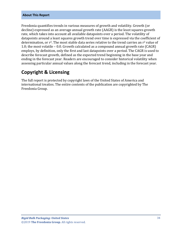#### **About This Report**

Freedonia quantifies trends in various measures of growth and volatility. Growth (or decline) expressed as an average annual growth rate (AAGR) is the least squares growth rate, which takes into account all available datapoints over a period. The volatility of datapoints around a least squares growth trend over time is expressed via the coefficient of determination, or  $r^2$ . The most stable data series relative to the trend carries an  $r^2$  value of 1.0; the most volatile – 0.0. Growth calculated as a compound annual growth rate (CAGR) employs, by definition, only the first and last datapoints over a period. The CAGR is used to describe forecast growth, defined as the expected trend beginning in the base year and ending in the forecast year. Readers are encouraged to consider historical volatility when assessing particular annual values along the forecast trend, including in the forecast year.

### **Copyright & Licensing**

The full report is protected by copyright laws of the United States of America and international treaties. The entire contents of the publication are copyrighted by The Freedonia Group.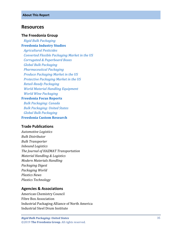#### <span id="page-6-0"></span>**Resources**

#### **The Freedonia Group**

 *[Rigid Bulk Packaging](http://www.freedoniagroup.com/DocumentDetails.aspx?ReferrerId=FL-FOCUS&studyid=3704)* **[Freedonia Industry Studies](http://www.freedoniagroup.com/Home.aspx?ReferrerId=FL-Focus)**  *[Agricultural Pesticides](http://www.freedoniagroup.com/DocumentDetails.aspx?ReferrerId=FL-FOCUS&studyid=3484) [Converted Flexible Packaging Market in the US](http://www.freedoniagroup.com/DocumentDetails.aspx?ReferrerId=FL-FOCUS&studyid=3522) [Corrugated & Paperboard Boxes](http://www.freedoniagroup.com/DocumentDetails.aspx?ReferrerId=FL-FOCUS&studyid=3686) [Global Bulk Packaging](http://www.freedoniagroup.com/DocumentDetails.aspx?ReferrerId=FL-FOCUS&studyid=3612) [Pharmaceutical Packaging](http://www.freedoniagroup.com/DocumentDetails.aspx?ReferrerId=FL-FOCUS&studyid=3523) [Produce Packaging Market in the US](http://www.freedoniagroup.com/DocumentDetails.aspx?ReferrerId=FL-FOCUS&studyid=3632) [Protective Packaging Market in the US](http://www.freedoniagroup.com/DocumentDetails.aspx?ReferrerId=FL-FOCUS&studyid=3544) Retail [-Ready Packaging](http://www.freedoniagroup.com/DocumentDetails.aspx?ReferrerId=FL-FOCUS&studyid=3713) World [Material Handling Equipment](http://www.freedoniagroup.com/DocumentDetails.aspx?ReferrerId=FL-FOCUS&studyid=3423) [World Wine Packaging](http://www.freedoniagroup.com/DocumentDetails.aspx?ReferrerId=FL-FOCUS&studyid=3406)* **[Freedonia Focus Reports](https://www.freedoniafocusreports.com/redirect.asp?progid=89534&url=/)**  *[Bulk Packaging: Canada](https://www.freedoniafocusreports.com/Bulk-Packaging-Canada-FA30052/?progid=89534)*

 *[Bulk Packaging: United States](https://www.freedoniafocusreports.com/Bulk-Packaging-United-States-FF30052/?progid=89534) [Global Bulk Packaging](https://www.freedoniafocusreports.com/Global-Bulk-Packaging-FW30052/?progid=89534)* **[Freedonia Custom Research](http://www.freedoniagroup.com/CustomResearch.aspx?ReferrerId=FL-Focus)**

#### **Trade Publications**

*Automotive Logistics Bulk Distributor Bulk Transporter Inbound Logistics The Journal of HAZMAT Transportation Material Handling & Logistics Modern Materials Handling Packaging Digest Packaging World Plastics News Plastics Technology*

#### **Agencies & Associations**

American Chemistry Council Fibre Box Association Industrial Packaging Alliance of North America Industrial Steel Drum Institute